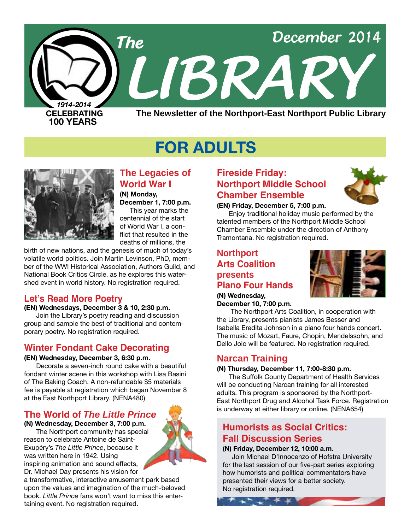

# **FOR ADULTS**



## **The Legacies of World War I**

**(N) Monday, December 1, 7:00 p.m.** This year marks the

centennial of the start of World War I, a conflict that resulted in the deaths of millions, the

birth of new nations, and the genesis of much of today's volatile world politics. Join Martin Levinson, PhD, member of the WWI Historical Association, Authors Guild, and National Book Critics Circle, as he explores this watershed event in world history. No registration required.

## **Let's Read More Poetry**

#### **(EN) Wednesdays, December 3 & 10, 2:30 p.m.**

Join the Library's poetry reading and discussion group and sample the best of traditional and contemporary poetry. No registration required.

## **Winter Fondant Cake Decorating**

#### **(EN) Wednesday, December 3, 6:30 p.m.**

Decorate a seven-inch round cake with a beautiful fondant winter scene in this workshop with Lisa Basini of The Baking Coach. A non-refundable \$5 materials fee is payable at registration which began November 8 at the East Northport Library. ([NENA480](http://alpha2.suffolk.lib.ny.us/search/?searchtype=X&SORT=D&searcharg=nena480&searchscope=43))

## **The World of** *The Little Prince*

#### **(N) Wednesday, December 3, 7:00 p.m.**

The Northport community has special reason to celebrate Antoine de Saint-Exupéry's *The Little Prince*, because it was written here in 1942. Using inspiring animation and sound effects, Dr. Michael Day presents his vision for

a transformative, interactive amusement park based upon the values and imagination of the much-beloved book. *Little Prince* fans won't want to miss this entertaining event. No registration required.

## **Fireside Friday: Northport Middle School Chamber Ensemble**



#### **(EN) Friday, December 5, 7:00 p.m.**

Enjoy traditional holiday music performed by the talented members of the Northport Middle School Chamber Ensemble under the direction of Anthony Tramontana. No registration required.

## **Northport Arts Coalition presents Piano Four Hands**



#### **(N) Wednesday, December 10, 7:00 p.m.**

 The Northport Arts Coalition, in cooperation with the Library, presents pianists James Besser and Isabella Eredita Johnson in a piano four hands concert. The music of Mozart, Faure, Chopin, Mendelssohn, and Dello Joio will be featured. No registration required.

## **Narcan Training**

#### **(N) Thursday, December 11, 7:00-8:30 p.m.**

The Suffolk County Department of Health Services will be conducting Narcan training for all interested adults. This program is sponsored by the Northport-East Northport Drug and Alcohol Task Force. Registration is underway at either library or online. [\(NENA654](http://alpha2.suffolk.lib.ny.us/search/?searchtype=X&SORT=D&searcharg=nena654&searchscope=43))

## **Humorists as Social Critics: Fall Discussion Series**

#### **(N) Friday, December 12, 10:00 a.m.**

\* \* \* \* \* \* \*

 Join Michael D'Innocenzo of Hofstra University for the last session of our five-part series exploring how humorists and political commentators have presented their views for a better society. No registration required.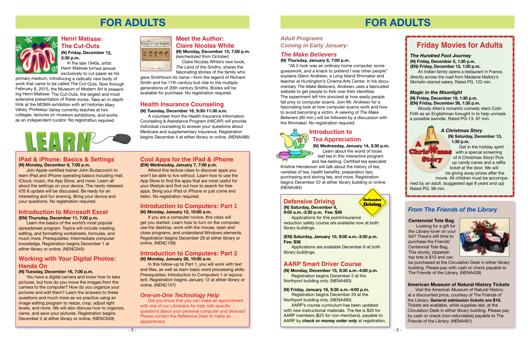## **FOR ADULTS**



## **Health Insurance Counseling**

#### **(N) Tuesday, December 16, 9:30-11:30 a.m.**

A volunteer from the Health Insurance Information Counseling & Assistance Program (HIICAP) will provide individual counseling to answer your questions about Medicare and supplementary insurance. Registration begins December 4 at either library or online. ([NENA486\)](http://alpha2.suffolk.lib.ny.us/search/?searchtype=X&SORT=D&searcharg=nena486&searchscope=43)

#### **Introduction to Computers: Part 1 (N) Monday, January 12, 10:00 a.m.**

If you are a computer novice, this class will get you started. Learn how to turn on the computer, use the desktop, work with the mouse, open and close programs, and understand Windows elements. Registration begins December 29 at either library or online. ([NENC156](http://alpha2.suffolk.lib.ny.us/search/?searchtype=X&SORT=D&searcharg=nenc156&searchscope=43))

#### **Introduction to Computers: Part 2 (N) Monday, January 26, 10:00 a.m.**

In this follow-up to Part 1, you will work with text and files, as well as learn basic word processing skills. Prerequisites: Introduction to Computers 1 or equivalent. Registration begins January 12 at either library or online. ([NENC157](http://alpha2.suffolk.lib.ny.us/search/?searchtype=X&SORT=D&searcharg=nenc157&searchscope=43))

### **Introduction to Microsoft Excel**

#### **(EN) Thursday, December 11, 7:00 p.m.**

Learn the basics of the world's most popular spreadsheet program. Topics will include creating, editing, and formatting worksheets, formulas, and much more. Prerequisites: Intermediate computer knowledge. Registration begins December 1 at either library or online. ([NENC045](http://alpha2.suffolk.lib.ny.us/search/?searchtype=X&SORT=D&searcharg=nenc045&searchscope=43))

## **iPad & iPhone: Basics & Settings**

#### **(N) Monday, December 8, 7:00 p.m.**

Join Apple-certified trainer John Budacovich to learn iPad and iPhone operating basics including mail, iCloud, music, the App Store, and more. Learn all about the settings on your device. The newly released iOS 8 update will be discussed. Be ready for an interesting and fun evening. Bring your device and your questions. No registration required.

## **Working with Your Digital Photos: Hands On**

#### **(N) Tuesday, December 16, 7:00 p.m.**

You have a digital camera and know how to take pictures, but how do you move the images from the camera to the computer? How do you organize your pictures and edit them? Learn the answers to these questions and much more as we practice using an image editing program to resize, crop, adjust light levels, and more. We will also discuss how to organize, name, and save your pictures. Registration begins December 2 at either library or online. ([NENC049](http://alpha2.suffolk.lib.ny.us/search/?searchtype=X&SORT=D&searcharg=nenc049&searchscope=43))



#### **Cool Apps for the iPad & iPhone (EN) Wednesday, January 7, 7:00 p.m.**

Attend this lecture class to discover apps you won't be able to live without. Learn how to use the App Store to find the apps that are most useful for your lifestyle and find out how to search for free apps. Bring your iPad or iPhone or just come and listen. No registration required.

#### **Meet the Author: Claire Nicolas White**

**(N) Monday, December 15, 7:00 p.m.** *(rescheduled from October)*

 Claire Nicolas White's new book, *The Land of the Smiths,* shares the fascinating stories of the family who

gave Smithtown its name—from the legend of Richard Smith and his 17th century bull ride to the multiple generations of 20th century Smiths. Books will be available for purchase. No registration required.

#### **Henri Matisse: The Cut-Outs (N) Friday, December 12,**

**2:30 p.m.** In the late 1940s, artist Henri Matisse turned almost exclusively to cut paper as his

primary medium, introducing a radically new body of work that came to be called The Cut-Outs. Now through February 8, 2015, the Museum of Modern Art is presenting Henri Matisse: The Cut-Outs, the largest and most extensive presentation of these works. Take an in-depth look at the MOMA exhibition with art historian Mary Vahey. Professor Vahey currently teaches at two colleges, lectures on museum exhibitions, and works as an independent curator. No registration required.



#### *One-on-One Technology Help*

Did you know that you can make an appointment with one of our Librarians for help with specific questions about your personal computer and devices? Please contact the Reference Desk to make an appointment.

## **FOR ADULTS**

**Defensive**

**(N) Saturday, December 6, 9:00 a.m.-3:30 p.m. Fee: \$36**

Applications for this point/insurance reduction safety course are available now at both library buildings.

#### **(EN) Saturday, January 10, 9:00 a.m.-3:30 p.m. Fee: \$36**

Applications are available December 6 at both library buildings.

### *Adult Programs Coming in Early January:*

#### *The Hundred Foot Journey* **(N) Friday, December 5, 1:30 p.m. (EN) Friday, December 12, 1:30 p.m.**

An Indian family opens a restaurant in France, directly across the road from Madame Mallory's Michelin-starred eatery. Rated PG. 122 min.

#### *Magic in the Moonlight* **(N) Friday, December 19, 1:30 p.m. (EN) Friday, December 26, 1:30 p.m.**

Woody Allen's romantic comedy stars Colin Firth as an Englishman brought in to help unmask a possible swindle. Rated PG-13. 97 min.

## **AARP Smart Driver Course**

**(N) Monday, December 15, 9:30 a.m.-4:00 p.m.**  Registration begins December 2 at the Northport building only. [\(NENA483\)](http://alpha2.suffolk.lib.ny.us/search/?searchtype=X&SORT=D&searcharg=nena483&searchscope=43)

#### **(N) Friday, January 16, 9:30 a.m.-4:00 p.m.**

Registration begins December 20 at the Northport building only. [\(NENA485\)](http://alpha2.suffolk.lib.ny.us/search/?searchtype=X&SORT=D&searcharg=nena485&searchscope=43)

AARP's course curriculum has been updated with new instructional materials. The fee is \$20 for AARP members (\$25 for non-members), payable to AARP by *check or money order only* at registration.

## **Introduction to Tea Appreciation**

## **(N) Wednesday, January 14, 2:30 p.m.**

 Learn about the world of loose leaf tea in this interactive program and tea-tasting. Certified tea specialist

Kristine Henderson will talk about the history of tea, varieties of tea, health benefits, preparation tips, purchasing and storing tea, and more. Registration begins December 22 at either library building or online. ([NENA484](http://alpha2.suffolk.lib.ny.us/search/?searchtype=X&SORT=D&searcharg=nena484&searchscope=43))

## **Defensive Driving Construction Construction Construction Construction Construction Construction Construction Construction Construction Construction Construction Construction Construction Construction Construction Construc**

## *The Make Believers*

#### **(N) Thursday, January 8, 7:00 p.m.**

"All it took was an ordinary home computer, some guesswork, and a knack to pretend I was other people" explains Glenn Andreiev, a Long Island filmmaker and teacher at Huntington's Cinema Arts Center. In his documentary *The Make Believers,* Andreiev uses a fabricated website to get people to fork over their identities. The experiment left him shocked at how easily people fall prey to computer scams. Join Mr. Andreiev for a fascinating look at how computer scams work and how to avoid becoming a victim. A viewing of *The Make Believers* (80 min.) will be followed by a discussion with the filmmaker. No registration required.

#### **American Museum of Natural History Tickets**

Visit the American Museum of Natural History at a discounted price, courtesy of The Friends of the Library. **General admission tickets are \$10.** Tickets are available, while supplies last, at the Circulation Desk in either library building. Please pay by cash or check (non-refundable) payable to The Friends of the Library. ([NENA481\)](http://alpha2.suffolk.lib.ny.us/search/?searchtype=X&SORT=D&searcharg=nena481&searchscope=43)

#### **Centennial Tote Bag**

Looking for a gift for the Library-lover on your list? There's still time to purchase the Friends' Centennial Tote Bag. This sturdy, zipperedtop tote is \$10 and can



be purchased at the Circulation Desk in either library building. Please pay with cash or check payable to The Friends of the Library. [\(NENA428\)](http://alpha2.suffolk.lib.ny.us/search/?searchtype=X&SORT=D&searcharg=nena428&searchscope=43)

## *From The Friends of the Library*

## **Friday Movies for Adults**

A

**Story** 

#### *A Christmas Story* **(N) Saturday, December 13, 1:30 p.m.**

Chris mas Get in the holiday spirit with a special screening of *A Christmas Story*! Pick up candy canes and a raffle ticket at the door. We will be giving away prizes after the

movie. All children must be accompanied by an adult. (suggested age 8 years and up) Rated PG. 98 min.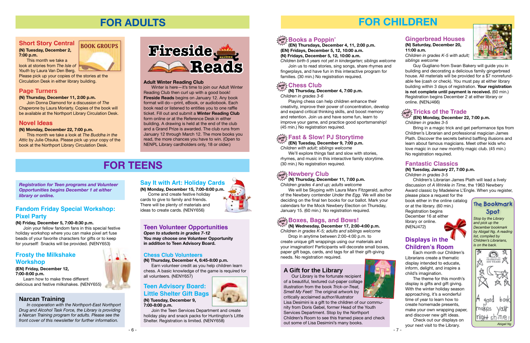**(EN) Tuesday, December 9, 7:00 p.m.** *Children with adult; siblings welcome*

#### $\lim_{\delta\rightarrow 0}$  Chess Club **in**

We'll explore things fast and slow with stories, rhymes, and music in this interactive family storytime. (30 min.) No registration required.

## $\lim_{\delta t\to\infty}\frac{1}{2}$  Newbery Club

 $\mathbb{W}^{\mathcal{F}}$  (N) Thursday, December 11, 7:00 p.m.

- 7 -

## **FOR CHILDREN**

## **drop in Books a Poppin'**

**(EN) Thursdays, December 4, 11, 2:00 p.m. (EN) Fridays, December 5, 12, 10:00 a.m. (N) Fridays, December 5, 12, 10:00 a.m.** *Children birth-5 years not yet in kindergarten; siblings welcome*

#### $F_{\alpha}$ <sub>ଙ୍କ</sub> Fast & Slow! PJ Storytime **in**

Join us to read stories, sing songs, share rhymes and

fingerplays, and have fun in this interactive program for families. (30 min.) No registration required.

**(N) Thursday, December 4, 7:00 p.m.** *Children in grades 3-6*

Playing chess can help children enhance their creativity, improve their power of concentration, develop and expand critical thinking skills, and boost memory and retention. Join us and have some fun, learn to improve your game, and practice good sportsmanship! (45 min.) No registration required.

> *Stop by the Library and pick up the December bookmark by Abigail Ng. A reading list, compiled by Children's Librarians, is on the back.*





## **The Bookmark Spot**

## **Gingerbread Houses**

**(N) Saturday, December 20, 11:00 a.m.**

*Children in grades K-5 with adult; siblings welcome*



## **drop in Tricks of the Trade**

Guy Gugliano from Swan Bakery will guide you in building and decorating a delicious family gingerbread house. All materials will be provided for a \$7 nonrefundable fee (cash or check). You must pay at either library building within 3 days of registration. **Your registration is not complete until payment is received.** (60 min.) Registration begins December 2 at either library or online. ([NENJ466](http://alpha2.suffolk.lib.ny.us/search/?searchtype=X&SORT=D&searcharg=nenj466&searchscope=43))

**(N) Wednesday, December 17, 2:00-4:00 p.m. in** *Children in grades K-5; adults and siblings welcome*

Drop in anytime between 2:00-4:00 p.m. to create unique gift wrappings using our materials and your imagination! Participants will decorate small boxes, paper gift bags, cards, and tags for all their gift-giving needs. No registration required.

*Children grades 4 and up; adults welcome*

We will be Skyping with Laura Marx Fitzgerald, author of the Newbery contender *Under the Egg*. We will also be deciding on the final ten books for our ballot. Mark your calendars for the Mock Newbery Election on Thursday, January 15. (60 min.) No registration required.

## $\frac{1}{\alpha! \alpha!}$ ટ્ટે Boxes, Bags, and Bows!

## **Fantastic Classics**

**(N) Tuesday, January 27, 7:00 p.m.** *Children in grades 3-5*

Children's Librarian James Plath will lead a lively discussion of *A Wrinkle in Time*, the 1963 Newbery Award classic by Madeleine L'Engle. When you register,

please place a request for the book either in the online catalog or at the library. (60 min.) Registration begins December 16 at either library or online. ([NENJ472](http://alpha2.suffolk.lib.ny.us/search/?searchtype=X&SORT=D&searcharg=nenj472&searchscope=43))



**(EN) Monday, December 22, 7:00 p.m.**

*Children in grades 3-5*

Bring in a magic trick and get performance tips from Children's Librarian and professional magician James Plath. Discover the secrets behind baffling illusions and learn about famous magicians. Meet other kids who love magic in our new monthly magic club. (45 min.) No registration required.

## **A Gift for the Library**

Our Library is the fortunate recipient of a beautiful, textured cut-paper collage illustration from the book *Trick-or-Treat, Smell My Feet!* The original artwork by critically acclaimed author/illustrator



Lisa Desimini is a gift to the children of our community from Doris Gebel, former Head of the Youth Services Department. Stop by the Northport Children's Room to see this framed piece and check out some of Lisa Desimini's many books.



## **Displays in the Children's Room**

Each month our Children's Librarians create a thematic display intended to educate, inform, delight, and inspire a child's imagination.

The theme for this month's display is gifts and gift giving. With the winter holiday season approaching, it's a wonderful time of year to learn how to create homemade presents, make your own wrapping paper, and discover new gift ideas.

Check out our displays on your next visit to the Library.

- 6 -





## **Teen Volunteer Opportunities**

*Open to students in grades 7-12*  **You may choose one Volunteer Opportunity in addition to Teen Advisory Board.**

*Registration for Teen programs and Volunteer Opportunities begins December 1 at either library or online.*

## **FOR TEENS**

#### **Chess Club Volunteers**

**(N) Thursday, December 4, 6:45-8:00 p.m.**

Earn volunteer credit as you help children learn chess. A basic knowledge of the game is required for all volunteers. ([NENY657\)](http://alpha2.suffolk.lib.ny.us/search/?searchtype=X&SORT=D&searcharg=neny657&searchscope=43)

## **Teen Advisory Board: Little Shelter Gift Bags (N) Tuesday, December 9,**

**7:00-8:00 p.m.**

Join the Teen Services Department and create holiday play and snack packs for Huntington's Little Shelter. Registration is limited. [\(NENY658\)](http://alpha2.suffolk.lib.ny.us/search/?searchtype=X&SORT=D&searcharg=neny658&searchscope=43)

## **Fandom Friday Special Workshop: Pixel Party**

#### **(N) Friday, December 5, 7:00-8:30 p.m.**

Join your fellow fandom fans in this special festive holiday workshop where you can make pixel art fuse beads of your favorite characters for gifts or to keep for yourself! Snacks will be provided. [\(NENY653](http://alpha2.suffolk.lib.ny.us/search/?searchtype=X&SORT=D&searcharg=neny653&searchscope=43))

## **Say It with Art: Holiday Cards**

**(N) Monday, December 15, 7:00-8:00 p.m.** Come and create festive holiday cards to give to family and friends. There will be plenty of materials and

ideas to create cards. ([NENY656\)](http://alpha2.suffolk.lib.ny.us/search/?searchtype=X&SORT=D&searcharg=neny656&searchscope=43)

## **Frosty the Milkshake Workshop**

#### **(EN) Friday, December 12, 7:00-8:00 p.m.**

Learn how to make three different delicious and festive milkshakes. ([NENY655](http://alpha2.suffolk.lib.ny.us/search/?searchtype=X&SORT=D&searcharg=neny655&searchscope=43))

## **Short Story Central**

**(N) Tuesday, December 2, 7:00 p.m.**

This month we take a look at stories from *The Isle of Youth* by Laura Van Den Berg.

Please pick up your copies of the stories at the Circulation Desk in either library building.

## **Page Turners**

#### **(N) Thursday, December 11, 2:00 p.m.**

Join Donna Diamond for a discussion of *The Chaperone* by Laura Moriarty. Copies of the book will be available at the Northport Library Circulation Desk.

#### **Novel Ideas**

#### **(N) Monday, December 22, 7:00 p.m.**

This month we take a look at *The Buddha in the Attic* by Julie Otsuka. Please pick up your copy of the book at the Northport Library Circulation Desk.

**BOOK GROUPS**

## **FOR ADULTS**



#### **Adult Winter Reading Club**

Winter is here—it's time to join our Adult Winter Reading Club then curl up with a good book! **Fireside Reads** begins on January 12. Any book format will do—print, eBook, or audiobook. Each book read or listened to entitles you to one raffle ticket. Fill out and submit a **Winter Reading Club** form online or at the Reference Desk in either building. A drawing is held at the end of the club and a Grand Prize is awarded. The club runs from January 12 through March 12. The more books you read, the more chances you have to win. (Open to NENPL Library cardholders only, 18 or older.)

#### **Narcan Training**

*In cooperation with the Northport-East Northport Drug and Alcohol Task Force, the Library is providing a Narcan Training program for adults. Please see the front cover of this newsletter for further information.*